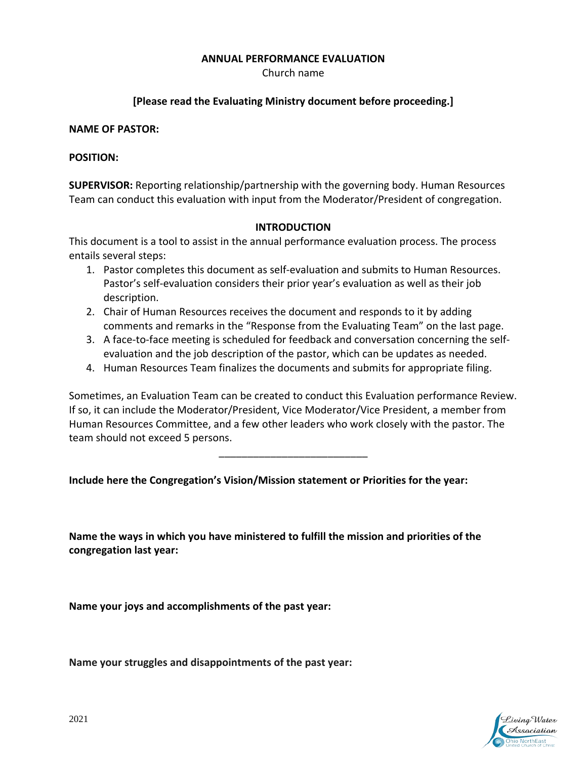## **ANNUAL PERFORMANCE EVALUATION**

Church name

# **[Please read the Evaluating Ministry document before proceeding.]**

### **NAME OF PASTOR:**

## **POSITION:**

**SUPERVISOR:** Reporting relationship/partnership with the governing body. Human Resources Team can conduct this evaluation with input from the Moderator/President of congregation.

#### **INTRODUCTION**

This document is a tool to assist in the annual performance evaluation process. The process entails several steps:

- 1. Pastor completes this document as self-evaluation and submits to Human Resources. Pastor's self-evaluation considers their prior year's evaluation as well as their job description.
- 2. Chair of Human Resources receives the document and responds to it by adding comments and remarks in the "Response from the Evaluating Team" on the last page.
- 3. A face-to-face meeting is scheduled for feedback and conversation concerning the selfevaluation and the job description of the pastor, which can be updates as needed.
- 4. Human Resources Team finalizes the documents and submits for appropriate filing.

Sometimes, an Evaluation Team can be created to conduct this Evaluation performance Review. If so, it can include the Moderator/President, Vice Moderator/Vice President, a member from Human Resources Committee, and a few other leaders who work closely with the pastor. The team should not exceed 5 persons.

\_\_\_\_\_\_\_\_\_\_\_\_\_\_\_\_\_\_\_\_\_\_\_\_\_\_

**Include here the Congregation's Vision/Mission statement or Priorities for the year:**

**Name the ways in which you have ministered to fulfill the mission and priorities of the congregation last year:**

**Name your joys and accomplishments of the past year:**

**Name your struggles and disappointments of the past year:**